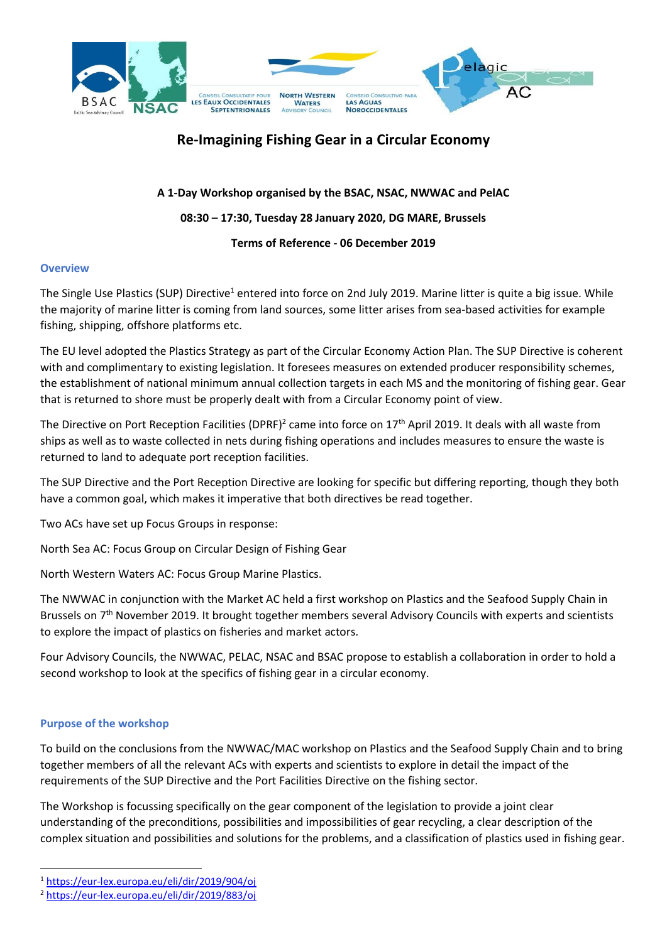

# **Re-Imagining Fishing Gear in a Circular Economy**

**A 1-Day Workshop organised by the BSAC, NSAC, NWWAC and PelAC**

**08:30 – 17:30, Tuesday 28 January 2020, DG MARE, Brussels**

## **Terms of Reference - 06 December 2019**

## **Overview**

The Single Use Plastics (SUP) Directive<sup>1</sup> entered into force on 2nd July 2019. Marine litter is quite a big issue. While the majority of marine litter is coming from land sources, some litter arises from sea-based activities for example fishing, shipping, offshore platforms etc.

The EU level adopted the Plastics Strategy as part of the Circular Economy Action Plan. The SUP Directive is coherent with and complimentary to existing legislation. It foresees measures on extended producer responsibility schemes, the establishment of national minimum annual collection targets in each MS and the monitoring of fishing gear. Gear that is returned to shore must be properly dealt with from a Circular Economy point of view.

The Directive on Port Reception Facilities (DPRF)<sup>2</sup> came into force on 17<sup>th</sup> April 2019. It deals with all waste from ships as well as to waste collected in nets during fishing operations and includes measures to ensure the waste is returned to land to adequate port reception facilities.

The SUP Directive and the Port Reception Directive are looking for specific but differing reporting, though they both have a common goal, which makes it imperative that both directives be read together.

Two ACs have set up Focus Groups in response:

North Sea AC: Focus Group on Circular Design of Fishing Gear

North Western Waters AC: Focus Group Marine Plastics.

The NWWAC in conjunction with the Market AC held a first workshop on Plastics and the Seafood Supply Chain in Brussels on 7<sup>th</sup> November 2019. It brought together members several Advisory Councils with experts and scientists to explore the impact of plastics on fisheries and market actors.

Four Advisory Councils, the NWWAC, PELAC, NSAC and BSAC propose to establish a collaboration in order to hold a second workshop to look at the specifics of fishing gear in a circular economy.

## **Purpose of the workshop**

 $\overline{a}$ 

To build on the conclusions from the NWWAC/MAC workshop on Plastics and the Seafood Supply Chain and to bring together members of all the relevant ACs with experts and scientists to explore in detail the impact of the requirements of the SUP Directive and the Port Facilities Directive on the fishing sector.

The Workshop is focussing specifically on the gear component of the legislation to provide a joint clear understanding of the preconditions, possibilities and impossibilities of gear recycling, a clear description of the complex situation and possibilities and solutions for the problems, and a classification of plastics used in fishing gear.

<sup>1</sup> <https://eur-lex.europa.eu/eli/dir/2019/904/oj>

<sup>2</sup> <https://eur-lex.europa.eu/eli/dir/2019/883/oj>